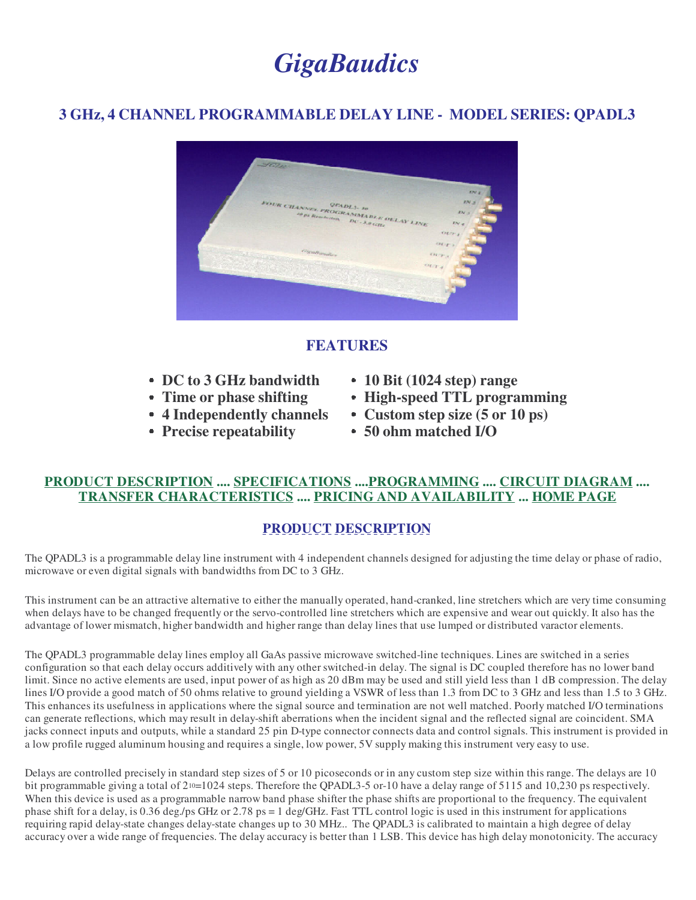# *GigaBaudics*

# **3 GHz, 4 CHANNEL PROGRAMMABLE DELAY LINE - MODEL SERIES: QPADL3**



# **FEATURES**

- **DC to 3 GHz bandwidth**
- **Time or phase shifting**
- **4 Independently channels**
- **Precise repeatability**
- **10 Bit (1024 step) range**
- **High-speed TTL programming**
- **Custom step size (5 or 10 ps)**
- **50 ohm matched I/O**

## **PRODUCT DESCRIPTION .... SPECIFICATIONS ....PROGRAMMING .... CIRCUIT DIAGRAM .... TRANSFER CHARACTERISTICS .... PRICING AND AVAILABILITY ... HOME PAGE**

# **PRODUCT DESCRIPTION**

The QPADL3 is a programmable delay line instrument with 4 independent channels designed for adjusting the time delay or phase of radio, microwave or even digital signals with bandwidths from DC to 3 GHz.

This instrument can be an attractive alternative to either the manually operated, hand-cranked, line stretchers which are very time consuming when delays have to be changed frequently or the servo-controlled line stretchers which are expensive and wear out quickly. It also has the advantage of lower mismatch, higher bandwidth and higher range than delay lines that use lumped or distributed varactor elements.

The QPADL3 programmable delay lines employ all GaAs passive microwave switched-line techniques. Lines are switched in a series configuration so that each delay occurs additively with any other switched-in delay. The signal is DC coupled therefore has no lower band limit. Since no active elements are used, input power of as high as 20 dBm may be used and still yield less than 1 dB compression. The delay lines I/O provide a good match of 50 ohms relative to ground yielding a VSWR of less than 1.3 from DC to 3 GHz and less than 1.5 to 3 GHz. This enhances its usefulness in applications where the signal source and termination are not well matched. Poorly matched I/O terminations can generate reflections, which may result in delay-shift aberrations when the incident signal and the reflected signal are coincident. SMA jacks connect inputs and outputs, while a standard 25 pin D-type connector connects data and control signals. This instrument is provided in a low profile rugged aluminum housing and requires a single, low power, 5V supply making this instrument very easy to use.

Delays are controlled precisely in standard step sizes of 5 or 10 picoseconds or in any custom step size within this range. The delays are 10 bit programmable giving a total of 2<sup>10</sup>=1024 steps. Therefore the QPADL3-5 or-10 have a delay range of 5115 and 10,230 ps respectively. When this device is used as a programmable narrow band phase shifter the phase shifts are proportional to the frequency. The equivalent phase shift for a delay, is 0.36 deg./ps GHz or 2.78 ps = 1 deg/GHz. Fast TTL control logic is used in this instrument for applications requiring rapid delay-state changes delay-state changes up to 30 MHz.. The QPADL3 is calibrated to maintain a high degree of delay accuracy over a wide range of frequencies. The delay accuracy is better than 1 LSB. This device has high delay monotonicity. The accuracy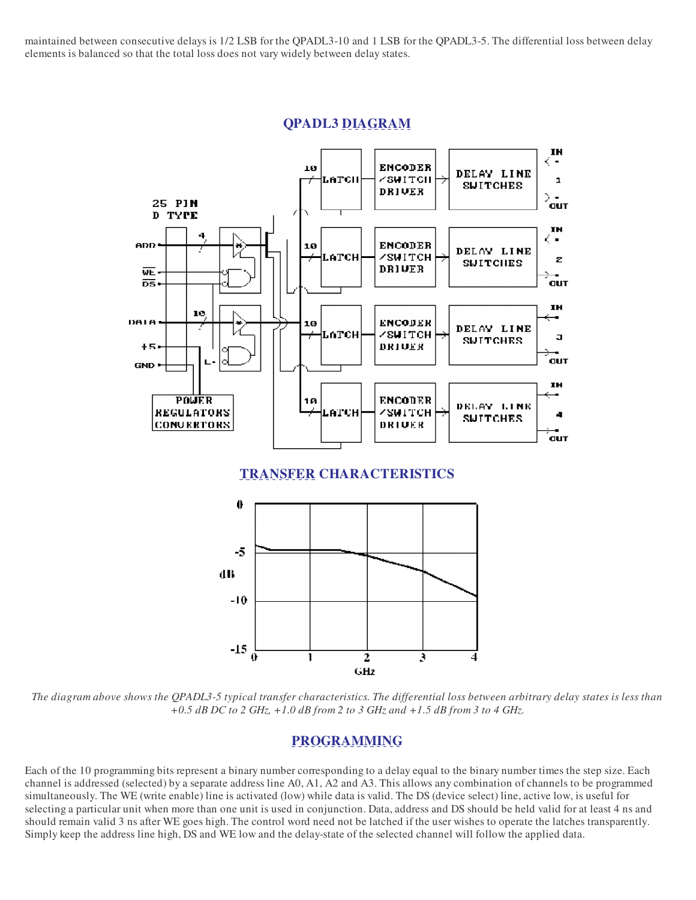maintained between consecutive delays is 1/2 LSB for the QPADL3-10 and 1 LSB for the QPADL3-5. The differential loss between delay elements is balanced so that the total loss does not vary widely between delay states.







 $\overline{\mathbf{z}}$ 

GHz

3

4

#### **PROGRAMMING**

 $-10$ 

 $-15$ 

Each of the 10 programming bits represent a binary number corresponding to a delay equal to the binary number times the step size. Each channel is addressed (selected) by a separate address line A0, A1, A2 and A3. This allows any combination of channels to be programmed simultaneously. The WE (write enable) line is activated (low) while data is valid. The DS (device select) line, active low, is useful for selecting a particular unit when more than one unit is used in conjunction. Data, address and DS should be held valid for at least 4 ns and should remain valid 3 ns after WE goes high. The control word need not be latched if the user wishes to operate the latches transparently. Simply keep the address line high, DS and WE low and the delay-state of the selected channel will follow the applied data.